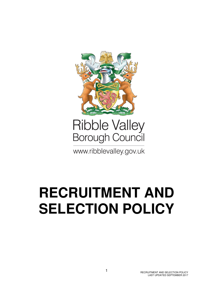

# **Ribble Valley** Borough Council

www.ribblevalley.gov.uk

# **RECRUITMENT AND SELECTION POLICY**

RECRUITMENT AND SELECTION POLICY LAST UPDATED SEPTEMBER 2017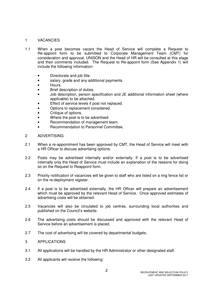#### 1 VACANCIES

- 1.1 When a post becomes vacant the Head of Service will complete a Request to Re-appoint form to be submitted to Corporate Management Team (CMT) for consideration and approval. UNISON and the Head of HR will be consulted at this stage and their comments included. The Request to Re-appoint form (See Appendix 1) will include the following information:
	- Directorate and job title.
	- salary, grade and any additional payments.
	- Hours.
	- Brief description of duties.
	- Job description, person specification and JE additional information sheet (where applicable) to be attached.
	- Effect of service levels if post not replaced.
	- Options to replacement considered.
	- Critique of options.
	- Where the post is to be advertised
	- Recommendation of management team.
	- Recommendation to Personnel Committee.

#### 2 ADVERTISING

- 2.1 When a re-appointment has been approved by CMT, the Head of Service will meet with a HR Officer to discuss advertising options.
- 2.2 Posts may be advertised internally and/or externally. If a post is to be advertised internally only the Head of Service must include an explanation of the reasons for doing so on the Request to Reappoint form.
- 2.3 Priority notification of vacancies will be given to staff who are listed on a ring fence list or on the re-deployment register.
- 2.4 If a post is to be advertised externally, the HR Officer will prepare an advertisement which must be approved by the relevant Head of Service. Once approved estimates of advertising costs will be obtained.
- 2.5 Vacancies will also be circulated to job centres, surrounding local authorities and published on the Council's website.
- 2.6 The advertising costs should be discussed and approved with the relevant Head of Service before an advertisement is placed.
- 2.7 The cost of advertising will be covered by departmental budgets.
- 3 APPLICATIONS
- 3.1 All applications will be handled by the HR Administrator or other designated staff.
- 3.2 All applicants will receive the following: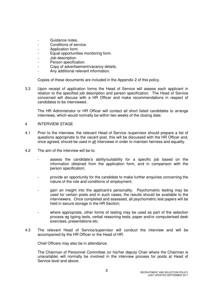- Guidance notes.
- Conditions of service.
- Application form.
- Equal opportunities monitoring form.
- Job description.
- Person specification.
- Copy of advertisement/vacancy details.
- Any additional relevant information.

Copies of these documents are included in the Appendix 2 of this policy.

3.3 Upon receipt of application forms the Head of Service will assess each applicant in relation to the specified job description and person specification. The Head of Service concerned will discuss with a HR Officer and make recommendations in respect of candidates to be interviewed.

 The HR Administrator or HR Officer will contact all short listed candidates to arrange interviews, which would normally be within two weeks of the closing date.

#### 4 INTERVIEW STAGE

- 4.1 Prior to the interview, the relevant Head of Service /supervisor should prepare a list of questions appropriate to the vacant post, this will be discussed with the HR Officer and, once agreed, should be used in all interviews in order to maintain fairness and equality.
- 4.2 The aim of the interview will be to:
	- assess the candidate's ability/suitability for a specific job based on the information obtained from the application form, and in comparison with the person specification;
	- provide an opportunity for the candidate to make further enquiries concerning the nature of the role and conditions of employment;
	- gain an insight into the applicant's personality. Psychometric testing may be used for certain posts and in such cases; the results should be available to the interviewers. Once completed and assessed, all psychometric test papers will be held in secure storage in the HR Section;
	- where appropriate, other forms of testing may be used as part of the selection process eg typing tests, verbal reasoning tests, paper and/or computerised desk exercises, presentations etc.
- 4.3 The relevant Head of Service/supervisor will conduct the interview and will be accompanied by the HR Officer or the Head of HR.

Chief Officers may also be in attendance.

 The Chairman of Personnel Committee (or his/her deputy Chair where the Chairman is unavailable) will normally be involved in the interview process for posts at Head of Service level and above.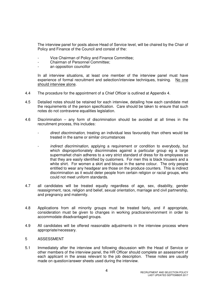The interview panel for posts above Head of Service level, will be chaired by the Chair of Policy and Finance of the Council and consist of the:

- Vice Chairman of Policy and Finance Committee;
- Chairman of Personnel Committee;
- an opposition councillor

 In all interview situations, at least one member of the interview panel must have experience of formal recruitment and selection/interview techniques, training. No one should interview alone.

- 4.4 The procedure for the appointment of a Chief Officer is outlined at Appendix 4.
- 4.5 Detailed notes should be retained for each interview, detailing how each candidate met the requirements of the person specification. Care should be taken to ensure that such notes do not contravene equalities legislation.
- 4.6 Discrimination any form of discrimination should be avoided at all times in the recruitment process, this includes:
	- direct discrimination, treating an individual less favourably than others would be treated in the same or similar circumstances
	- indirect discrimination, applying a requirement or condition to everybody, but which disproportionately discriminates against a particular group eg a large supermarket chain adheres to a very strict standard of dress for its employees so that they are easily identified by customers. For men this is black trousers and a white shirt. For women a skirt and blouse in the same colour. The only people entitled to wear any headgear are those on the produce counters. This is indirect discrimination as it would deter people from certain religion or racial groups, who could not meet uniform standards.
- 4.7 all candidates will be treated equally regardless of age, sex, disability, gender reassignment, race, religion and belief, sexual orientation, marriage and civil partnership, and pregnancy and maternity.
- 4.8 Applications from all minority groups must be treated fairly, and if appropriate, consideration must be given to changes in working practice/environment in order to accommodate disadvantaged groups.
- 4.9 All candidates will be offered reasonable adjustments in the interview process where appropriate/necessary.

#### 5 ASSESSMENT

5.1 Immediately after the interview and following discussion with the Head of Service or other members of the interview panel, the HR Officer should complete an assessment of each applicant in the areas relevant to the job description. These notes are usually made on question/answer sheets used during the interview.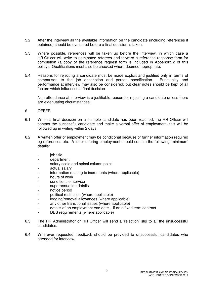- 5.2 After the interview all the available information on the candidate (including references if obtained) should be evaluated before a final decision is taken.
- 5.3 Where possible, references will be taken up before the interview, in which case a HR Officer will write to nominated referees and forward a reference response form for completion (a copy of the reference request form is included in Appendix 2 of this policy). Qualifications must also be checked where deemed appropriate.
- 5.4 Reasons for rejecting a candidate must be made explicit and justified only in terms of comparison to the job description and person specification. Punctuality and performance at interview may also be considered, but clear notes should be kept of all factors which influenced a final decision.

 Non-attendance at interview is a justifiable reason for rejecting a candidate unless there are extenuating circumstances.

- 6 OFFER
- 6.1 When a final decision on a suitable candidate has been reached, the HR Officer will contact the successful candidate and make a verbal offer of employment, this will be followed up in writing within 2 days.
- 6.2 A written offer of employment may be conditional because of further information required eg references etc. A letter offering employment should contain the following 'minimum' details:
	- iob title
	- department
	- salary scale and spinal column point
	- actual salary
	- information relating to increments (where applicable)
	- hours of work
	- conditions of service
	- superannuation details
	- notice period
	- political restriction (where applicable)
	- lodging/removal allowances (where applicable)
	- any other transitional issues (where applicable)
	- details of an employment end date if on a fixed term contract
	- DBS requirements (where applicable)
- 6.3 The HR Administrator or HR Officer will send a 'rejection' slip to all the unsuccessful candidates.
- 6.4 Wherever requested, feedback should be provided to unsuccessful candidates who attended for interview.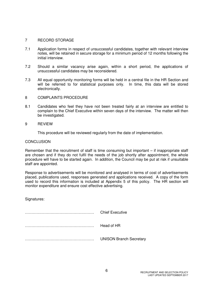#### 7 RECORD STORAGE

- 7.1 Application forms in respect of unsuccessful candidates, together with relevant interview notes, will be retained in secure storage for a minimum period of 12 months following the initial interview.
- 7.2 Should a similar vacancy arise again, within a short period, the applications of unsuccessful candidates may be reconsidered.
- 7.3 All equal opportunity monitoring forms will be held in a central file in the HR Section and will be referred to for statistical purposes only. In time, this data will be stored electronically.
- 8 COMPLAINTS PROCEDURE
- 8.1 Candidates who feel they have not been treated fairly at an interview are entitled to complain to the Chief Executive within seven days of the interview. The matter will then be investigated.
- 9 REVIEW

This procedure will be reviewed regularly from the date of implementation.

#### **CONCLUSION**

Remember that the recruitment of staff is time consuming but important – if inappropriate staff are chosen and if they do not fulfil the needs of the job shortly after appointment, the whole procedure will have to be started again. In addition, the Council may be put at risk if unsuitable staff are appointed.

Response to advertisements will be monitored and analysed in terms of cost of advertisements placed, publications used, responses generated and applications received. A copy of the form used to record this information is included at Appendix 5 of this policy. The HR section will monitor expenditure and ensure cost effective advertising.

Signatures:

……………………………………………… Chief Executive ……………………………………………… Head of HR ……………………………………………… UNISON Branch Secretary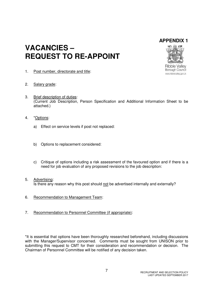## **APPENDIX 1**

## **VACANCIES – REQUEST TO RE-APPOINT**



**Ribble Vallev** Borough Council www.ribblevalley.gov.uk

- 1. Post number, directorate and title:
- 2. Salary grade:
- 3. Brief description of duties: (Current Job Description, Person Specification and Additional Information Sheet to be attached.)
- 4. \*Options:
	- a) Effect on service levels if post not replaced:
	- b) Options to replacement considered:
	- c) Critique of options including a risk assessment of the favoured option and if there is a need for job evaluation of any proposed revisions to the job description:
- 5. Advertising: Is there any reason why this post should not be advertised internally and externally?
- 6. Recommendation to Management Team:
- 7. Recommendation to Personnel Committee (if appropriate):

\*It is essential that options have been thoroughly researched beforehand, including discussions with the Manager/Supervisor concerned. Comments must be sought from UNISON prior to submitting this request to CMT for their consideration and recommendation or decision. The Chairman of Personnel Committee will be notified of any decision taken.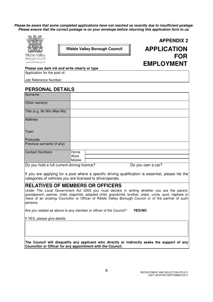**Please be aware that some completed applications have not reached us recently due to insufficient postage. Please ensure that the correct postage is on your envelope before returning this application form to us.**



**APPENDIX 2 Ribble Valley Borough Council APPLICATION FOR EMPLOYMENT**

**Please use dark ink and write clearly or type**

Application for the post of:

Job Reference Number:

#### **PERSONAL DETAILS**

| Surname                                                |        |  |                            |  |
|--------------------------------------------------------|--------|--|----------------------------|--|
| Other name(s)                                          |        |  |                            |  |
| Title (e.g. Mr Mrs Miss Ms)                            |        |  |                            |  |
| <b>Address</b>                                         |        |  |                            |  |
| Town                                                   |        |  |                            |  |
| Postcode                                               |        |  |                            |  |
| Previous surname (if any)                              |        |  |                            |  |
| <b>Contact Numbers</b>                                 | Home   |  |                            |  |
|                                                        | Work   |  |                            |  |
|                                                        | Mobile |  |                            |  |
| $D_{\alpha}$ you hold of all convention distinct lines |        |  | $D = 1.211$ at $m = 2.220$ |  |

Do you hold a full current driving licence? Do you own a car?

If you are applying for a post where a specific driving qualification is essential, please list the categories of vehicles you are licensed to drive/operate.

#### **RELATIVES OF MEMBERS OR OFFICERS**

Under The Local Government Act 2000 you must declare in writing whether you are the parent, grandparent, partner, child, stepchild, adopted child, grandchild, brother, sister, uncle, aunt, nephew or niece of an existing Councillor or Officer of Ribble Valley Borough Council or of the partner of such persons.

Are you related as above to any member or officer of the Council? **YES/NO** 

If YES, please give details

**The Council will disqualify any applicant who directly or indirectly seeks the support of any Councillor or Officer for any appointment with the Council.**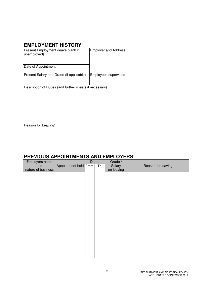## **EMPLOYMENT HISTORY**

| Present Employment (leave blank if<br>unemployed)<br>Date of Appointment | <b>Employer and Address</b> |
|--------------------------------------------------------------------------|-----------------------------|
| Present Salary and Grade (if applicable)                                 | Employees supervised:       |
| Description of Duties (add further sheets if necessary)                  |                             |
| Reason for Leaving:                                                      |                             |

## **PREVIOUS APPOINTMENTS AND EMPLOYERS**

| Employers name     |                       | Dates           | Grade /    |                    |
|--------------------|-----------------------|-----------------|------------|--------------------|
| and                | Appointment held From | $\overline{10}$ | Salary     | Reason for leaving |
| nature of business |                       |                 | on leaving |                    |
|                    |                       |                 |            |                    |
|                    |                       |                 |            |                    |
|                    |                       |                 |            |                    |
|                    |                       |                 |            |                    |
|                    |                       |                 |            |                    |
|                    |                       |                 |            |                    |
|                    |                       |                 |            |                    |
|                    |                       |                 |            |                    |
|                    |                       |                 |            |                    |
|                    |                       |                 |            |                    |
|                    |                       |                 |            |                    |
|                    |                       |                 |            |                    |
|                    |                       |                 |            |                    |
|                    |                       |                 |            |                    |
|                    |                       |                 |            |                    |
|                    |                       |                 |            |                    |
|                    |                       |                 |            |                    |
|                    |                       |                 |            |                    |
|                    |                       |                 |            |                    |
|                    |                       |                 |            |                    |
|                    |                       |                 |            |                    |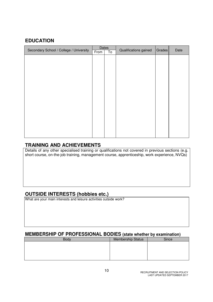## **EDUCATION**

| Secondary School / College / University | <b>Dates</b> |    | Qualifications gained | Grades | Date |
|-----------------------------------------|--------------|----|-----------------------|--------|------|
|                                         | From         | To |                       |        |      |
|                                         |              |    |                       |        |      |
|                                         |              |    |                       |        |      |
|                                         |              |    |                       |        |      |
|                                         |              |    |                       |        |      |
|                                         |              |    |                       |        |      |
|                                         |              |    |                       |        |      |
|                                         |              |    |                       |        |      |
|                                         |              |    |                       |        |      |
|                                         |              |    |                       |        |      |
|                                         |              |    |                       |        |      |
|                                         |              |    |                       |        |      |
|                                         |              |    |                       |        |      |
|                                         |              |    |                       |        |      |
|                                         |              |    |                       |        |      |
|                                         |              |    |                       |        |      |
|                                         |              |    |                       |        |      |
|                                         |              |    |                       |        |      |
|                                         |              |    |                       |        |      |

## **TRAINING AND ACHIEVEMENTS**

Details of any other specialised training or qualifications not covered in previous sections (e.g. short course, on-the-job training, management course, apprenticeship, work experience, NVQs)

## **OUTSIDE INTERESTS (hobbies etc.)**

What are your main interests and leisure activities outside work?

## **MEMBERSHIP OF PROFESSIONAL BODIES (state whether by examination)**

| <b>Membership Status</b> | Since |
|--------------------------|-------|
|                          |       |
|                          |       |
|                          |       |
|                          |       |
|                          |       |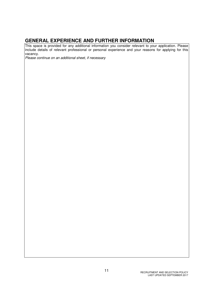## **GENERAL EXPERIENCE AND FURTHER INFORMATION**

This space is provided for any additional information you consider relevant to your application. Please include details of relevant professional or personal experience and your reasons for applying for this vacancy.

Please continue on an additional sheet, if necessary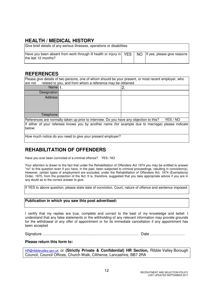## **HEALTH / MEDICAL HISTORY**

| Give brief details of any serious illnesses, operations or disabilities                                                           |  |  |  |  |  |
|-----------------------------------------------------------------------------------------------------------------------------------|--|--|--|--|--|
| Have you been absent from work through ill health or injury in $\text{YES}$ NO If yes, please give reasons<br>the last 12 months? |  |  |  |  |  |

## **REFERENCES**

Please give details of two persons, one of whom should be your present, or most recent employer, who are not related to you, and from whom a reference may be obtained

| Name $ 1$ . |                                                                                                                                                                                                                                           | c<br><u>.</u>            |
|-------------|-------------------------------------------------------------------------------------------------------------------------------------------------------------------------------------------------------------------------------------------|--------------------------|
| Designation |                                                                                                                                                                                                                                           |                          |
| Address     |                                                                                                                                                                                                                                           |                          |
|             |                                                                                                                                                                                                                                           |                          |
|             |                                                                                                                                                                                                                                           |                          |
|             |                                                                                                                                                                                                                                           |                          |
| Telephone   |                                                                                                                                                                                                                                           |                          |
|             | $\overline{D}$ of a contrast of the second use $\overline{D}$ , the second of the second second second second second second second second second second second second second second second second second second second second second seco | $VFA$ $\wedge$ $M\Omega$ |

References are normally taken up prior to interview. Do you have any objection to this? YES / NO If either of your referees knows you by another name (for example due to marriage) please indicate below:

How much notice do you need to give your present employer?

## **REHABILITATION OF OFFENDERS**

Have you ever been convicted of a criminal offence? YES / NO

Your attention is drawn to the fact that under the Rehabilitation of Offenders Act 1974 you may be entitled to answer "no" to this question even if you have, in the past, been subjected to criminal proceedings, resulting in conviction(s). However, certain types of employment are excluded, under the Rehabilitation of Offenders Act, 1974 (Exemptions) Order, 1975, from the protection of the Act. It is, therefore, suggested that you take appropriate advice if you are in any doubt as to the correct answer to give.

If YES to above question, please state date of conviction, Court, nature of offence and sentence imposed:

#### **Publication in which you saw this post advertised:**

I certify that my replies are true, complete and correct to the best of my knowledge and belief. I understand that any false statements or the withholding of any relevant information may provide grounds for the withdrawal of any offer of appointment or for its immediate cancellation if any appointment has been accepted

Signature ………………………………………………………………… Date ………………………

#### **Please return this form to:**

HR@ribblevalley.gov.uk or **(Strictly Private & Confidential) HR Section,** Ribble Valley Borough Council, Council Offices, Church Walk, Clitheroe, Lancashire, BB7 2RA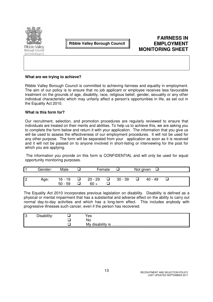

Borough Council www.ribblevalley.cov.uk **Ribble Valley Borough Council** 

## **FAIRNESS IN EMPLOYMENT MONITORING SHEET**

#### **What are we trying to achieve?**

Ribble Valley Borough Council is committed to achieving fairness and equality in employment. The aim of our policy is to ensure that no job applicant or employee receives less favourable treatment on the grounds of age, disability, race, religious belief, gender, sexuality or any other individual characteristic which may unfairly affect a person's opportunities in life, as set out in the Equality Act 2010.

#### **What is this form for?**

Our recruitment, selection, and promotion procedures are regularly reviewed to ensure that individuals are treated on their merits and abilities. To help us to achieve this, we are asking you to complete the form below and return it with your application. The information that you give us will be used to assess the effectiveness of our employment procedures. It will not be used for any other purpose. The form will be separated from your application as soon as it is received and it will not be passed on to anyone involved in short-listing or interviewing for the post for which you are applying.

The information you provide on this form is CONFIDENTIAL and will only be used for equal opportunity monitoring purposes.

|     | Gender: | Male      | Female    |   |           | Not given |         |  |
|-----|---------|-----------|-----------|---|-----------|-----------|---------|--|
|     |         |           |           |   |           |           |         |  |
| 2 ا | Age:    | $16 - 19$ | $20 - 29$ | ❏ | $30 - 39$ |           | 40 - 49 |  |
|     |         | $50 - 59$ | $60 +$    |   |           |           |         |  |

The Equality Act 2010 incorporates previous legislation on disability. Disability is defined as a physical or mental impairment that has a substantial and adverse effect on the ability to carry out normal day-to-day activities and which has a long-term effect. This includes anybody with progressive illnesses such cancer, even if the person has recovered.

| IЗ |  | es |
|----|--|----|
|    |  | NC |
|    |  | M  |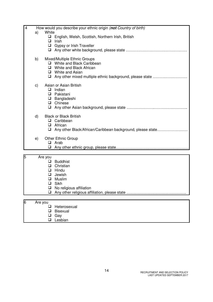| $\overline{4}$ |         |                                                                | How would you describe your ethnic origin (not Country of birth)                                                                                                    |
|----------------|---------|----------------------------------------------------------------|---------------------------------------------------------------------------------------------------------------------------------------------------------------------|
|                | a)      | White<br>$\Box$<br>❏<br>$\Box$                                 | English, Welsh, Scottish, Northern Irish, British<br>Irish<br>Gypsy or Irish Traveller                                                                              |
|                | b)      | ப<br>u.<br>□<br>Q.                                             | Mixed/Multiple Ethnic Groups<br>White and Black Caribbean<br>White and Black African<br>White and Asian<br>Any other mixed multiple ethnic background, please state |
|                | C)      | u<br>❏<br>0<br>$\Box$                                          | Asian or Asian British<br>Indian<br>Pakistani<br>Bangladeshi<br>$\Box$ Chinese                                                                                      |
|                | d)      | ⊔<br>$\Box$<br>O                                               | <b>Black or Black British</b><br>Caribbean<br>African<br>Any other Black/African/Caribbean background, please state                                                 |
|                | e)      | □<br>❏                                                         | Other Ethnic Group<br>Arab                                                                                                                                          |
|                |         |                                                                |                                                                                                                                                                     |
| 5              |         | Are you<br>$\Box$<br>$\Box$<br>$\Box$<br>$\Box$<br>❏<br>❏<br>❏ | <b>Buddhist</b><br>Christian<br>Hindu<br>Jewish<br>Muslim<br>Sikh<br>No religious affiliation                                                                       |
|                |         |                                                                |                                                                                                                                                                     |
| 6              | Are you | ⊔<br>❏<br>❏<br>❏                                               | Heterosexual<br><b>Bisexual</b><br>Gay<br>Lesbian                                                                                                                   |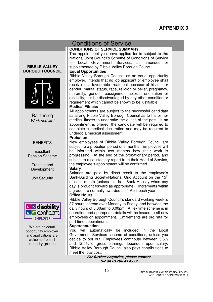## Conditions of Service

#### **CONDITIONS OF SERVICE SUMMARY**

The appointment you have applied for is subject to the National Joint Council's Scheme of Conditions of Service for Local Government Services, as amended or supplemented by Ribble Valley Borough Council.

#### **Equal Opportunities**

Ribble Valley Borough Council, as an equal opportunity employer, intends that no job applicant or employee shall receive less favourable treatment because of his or her gender, marital status, race, religion or belief, pregnancy, maternity, gender reassignment, sexual orientation or disability; nor be disadvantaged by any other condition or requirement which cannot be shown to be justifiable.

#### **Medical Fitness**

All appointments are subject to the successful candidate satisfying Ribble Valley Borough Council as to his or her medical fitness to undertake the duties of the post. If an appointment is offered, the candidate will be required to complete a medical declaration and may be required to undergo a medical assessment.

#### **Probation**

New employees of Ribble Valley Borough Council are subject to a probation period of 6 months. Employees will be informed within two months how their work is progressing. At the end of the probationary period, and subject to a satisfactory report from their Head of Service, the employee's appointment will be confirmed.

#### **Salary**

Salaries are paid by direct credit to the employee's Bank/Building Society/National Giro Account on the 15<sup>th</sup> of each month (unless this is a Bank Holiday when pay day is brought forward as appropriate). Increments within a grade are normally awarded on 1 April each year.

#### **Office Hours**

Ribble Valley Borough Council's standard working week is 37 hours, spread over Monday to Friday, and between the daily hours of 8.00am to 6.00pm. A flexitime scheme is in operation and appropriate details will be issued to all new employees on appointment. Entitlements are pro rata for part time appointments.

#### **Superannuation**

You will automatically be included in the Local Government Services scheme of conditions, unless you decide to opt out. Employees contribute between 5.5% and 12.5% of gross earnings dependent upon salary. Ribble Valley Borough Council also pays contributions to meet the total cost.

For further enquiries, please contact HR on 01200 414559

#### **RIBBLE VALLEY BOROUGH COUNCIL**



Balancing Work and life!

#### **BENEFITS**

**Excellent** Pension Scheme

> Training and Development

Job Security



We are an equal opportunity employer and applications are welcome from all minority groups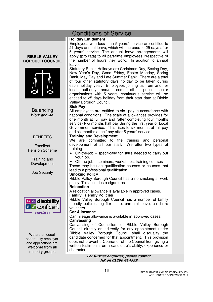## Conditions of Service

#### **Holiday Entitlement**

Employees with less than 5 years' service are entitled to 21 days annual leave, which will increase to 25 days after 5 years' service. The annual leave arrangements will apply (pro rata) to all part-time employees irrespective of the number of hours they work. In addition to annual leave:-

Statutory Public Holidays are Christmas Day, Boxing Day, New Year's Day, Good Friday, Easter Monday, Spring Bank, May Day and Late Summer Bank. There are a total of four other statutory days holiday to be taken during each holiday year. Employees joining us from another local authority and/or some other public sector organisations with 5 years' continuous service will be entitled to 25 days holiday from their start date at Ribble Valley Borough Council.

#### **Sick Pay**

All employees are entitled to sick pay in accordance with national conditions. The scale of allowances provides for one month at full pay and (after completing four months service) two months half pay during the first year of Local Government service. This rises to six months at full pay and six months at half pay after 5 years' service.

#### **Training and Development**

We are committed to the training and personal development of all our staff. We offer two types of training:

- On-the-job specifically for skills needed to carry out your job.
- Off-the-job seminars, workshops, training courses

These may be non–qualification courses or courses that lead to a professional qualification.

#### **Smoking Policy**

Ribble Valley Borough Council has a no smoking at work policy. This includes e-cigarettes.

#### **Relocation**

A relocation allowance is available in approved cases.

#### **Family Friendly Policies**

Ribble Valley Borough Council has a number of family friendly policies, eg flexi time, parental leave, childcare vouchers.

#### **Car Allowance**

Car mileage allowance is available in approved cases.

#### **Canvassing**

Canvassing of Councillors of Ribble Valley Borough Council directly or indirectly for any appointment under Ribble Valley Borough Council shall disqualify the candidate concerned for that appointment. This provision does not prevent a Councillor of the Council from giving a written testimonial on a candidate's ability, experience or character.

> For further enquiries, please contact HR on 01200 414559

# **BOROUGH COUNCIL**

**RIBBLE VALLEY** 



Balancing Work and life!

#### **BENEFITS**

**Excellent** Pension Scheme

Training and Development

Job Security



We are an equal opportunity employer and applications are welcome from all minority groups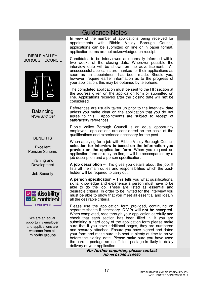## Guidance Notes

In view of the number of applications being received for appointments with Ribble Valley Borough Council, applications can be submitted on line or in paper format, application forms are not acknowledged on receipt.

Candidates to be interviewed are normally informed within two weeks of the closing date. Wherever possible the interview date will be shown on the advertisement. All interview date will be shown on the advertisement. unsuccessful applicants are thanked for their applications as soon as an appointment has been made. Should you, however, require earlier information as to the progress of your application, this may be obtained by telephone.

The completed application must be sent to the HR section at the address given on the application form or submitted on line. Applications received after the closing date will **not** be considered.

References are usually taken up prior to the interview date unless you make clear on the application that you do not agree to this. Appointments are subject to receipt of satisfactory references.

Ribble Valley Borough Council is an equal opportunity employer - applications are considered on the basis of the qualifications and experience necessary for the post.

When applying for a job with Ribble Valley Borough Council **selection for interview is based on the information you provide on the application form**. When you request an application form or reply on line, it will be accompanied by a job description and a person specification.

**A job description** – This gives you details about the job. It lists all the main duties and responsibilities which the postholder will be required to carry out.

**A person specification** – This tells you what qualifications, skills, knowledge and experience a person must have to be able to do the job. These are listed as essential and desirable criteria. In order to be invited for the interview you must be able to show that you meet all essential and ideally all the desirable criteria.

Please use the application form provided, continuing on separate sheets if necessary. **C.V.'s will not be accepted.**  When completed, read through your application carefully and check that each section has been filled in. If you are submitting a hard copy of the application form please make sure that if you have additional pages, they are numbered and securely attached. Ensure you have signed and dated your form and make sure it is sent in plenty of time to arrive before the closing date. Please make sure you have used the correct postage as insufficient postage is likely to delay delivery of your application.

> For further enquiries, please contact HR on 01200 414559

BOROUGH COUNCIL

RIBBLE VALLEY



Balancing Work and life!

#### **BENEFITS**

**Excellent** Pension Scheme

Training and Development

Job Security



We are an equal opportunity employer and applications are welcome from all minority groups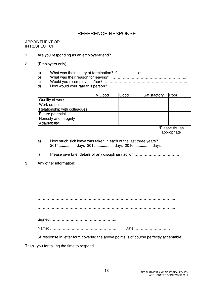## REFERENCE RESPONSE

#### APPOINTMENT OF: IN RESPECT OF:

1. Are you responding as an employer/friend? ………………………………………………

- 2. (Employers only)
	- a) What was their salary at termination? £…………. at …………………………….
	- b) What was their reason for leaving? …………………………………………………..
	- c) Would you re-employ him/her? ….……………………………………………………..
	- d) How would your rate this person?……………………………………………….…….

|                              | V Good | Good | Satisfactory | Poor            |
|------------------------------|--------|------|--------------|-----------------|
| Quality of work              |        |      |              |                 |
| Work output                  |        |      |              |                 |
| Relationship with colleagues |        |      |              |                 |
| Future potential             |        |      |              |                 |
| Honesty and integrity        |        |      |              |                 |
| Adaptability                 |        |      |              |                 |
|                              |        |      |              | *Please tick as |

appropriate

- e) How much sick leave was taken in each of the last three years? 2014............... days 2015 ............... days 2016 ............... days.
- f) Please give brief details of any disciplinary action ……………………………….
- 3. Any other information:

 ……………………………………………………………………………………………... ……………………………………………………………………………………………... ……………………………………………………………………………………………... ……………………………………………………………………………………………...

……………………………………………………………………………………………...

(A response in letter form covering the above points is of course perfectly acceptable).

Thank you for taking the time to respond.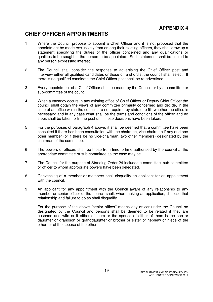## **APPENDIX 4**

## **CHIEF OFFICER APPOINTMENTS**

- 1 Where the Council propose to appoint a Chief Officer and it is not proposed that the appointment be made exclusively from among their existing officers, they shall draw up a statement specifying the duties of the officer concerned and any qualifications or qualities to be sought in the person to be appointed. Such statement shall be copied to any person expressing interest.
- 2 The Council shall consider the response to advertising the Chief Officer post and interview either all qualified candidates or those on a shortlist the council shall select. If there is no qualified candidate the Chief Officer post shall be re-advertised.
- 3 Every appointment of a Chief Officer shall be made by the Council or by a committee or sub-committee of the council.
- 4 When a vacancy occurs in any existing office of Chief Officer or Deputy Chief Officer the council shall obtain the views of any committee primarily concerned and decide, in the case of an office which the council are not required by statute to fill, whether the office is necessary; and in any case what shall be the terms and conditions of the office; and no steps shall be taken to fill the post until these decisions have been taken.
- 5 For the purposes of paragraph 4 above, it shall be deemed that a committee have been consulted if there has been consultation with the chairman, vice-chairman if any and one other member (or if there be no vice-chairman, two other members) designated by the chairman of the committee.
- 6 The powers of officers shall be those from time to time authorised by the council at the appropriate committee or sub-committee as the case may be.
- 7 The Council for the purpose of Standing Order 24 includes a committee, sub-committee or officer to whom appropriate powers have been delegated.
- 8 Canvassing of a member or members shall disqualify an applicant for an appointment with the council.
- 9 An applicant for any appointment with the Council aware of any relationship to any member or senior officer of the council shall, when making an application, disclose that relationship and failure to do so shall disqualify.

 For the purpose of the above "senior officer" means any officer under the Council so designated by the Council and persons shall be deemed to be related if they are husband and wife or if either of them or the spouse of either of them is the son or daughter or grandson or granddaughter or brother or sister or nephew or niece of the other, or of the spouse of the other.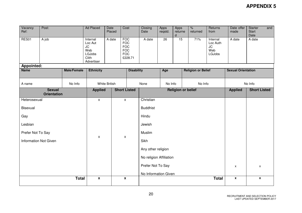| Vacancy<br>Ref:                                        | Post:   |                  | <b>Ad Placed</b>                                                                | Date<br>Placed | Cost                                                                          |  | Closing<br>Date           | Apps<br>reqstd. | Apps<br>returne<br>d      | $\%$<br>returned | Returns<br>from                                           | Date offer<br>made | Starter<br>and<br>Start<br>Date |  |
|--------------------------------------------------------|---------|------------------|---------------------------------------------------------------------------------|----------------|-------------------------------------------------------------------------------|--|---------------------------|-----------------|---------------------------|------------------|-----------------------------------------------------------|--------------------|---------------------------------|--|
| RES01                                                  | A job   |                  | Internal<br>Loc Aut<br><b>JC</b><br>Web<br><b>LGJobs</b><br>Clith<br>Advertiser | A date         | <b>FOC</b><br><b>FOC</b><br><b>FOC</b><br><b>FOC</b><br><b>FOC</b><br>£228.71 |  | A date                    | $\overline{26}$ | 15                        | 71%              | Internal<br>Loc Auth<br><b>JC</b><br>Web<br><b>LGJobs</b> | A date             | A date                          |  |
| <b>Appointed:</b><br><b>Name</b><br><b>Male/Female</b> |         | <b>Ethnicity</b> |                                                                                 |                | <b>Disability</b>                                                             |  | Age                       |                 | <b>Religion or Belief</b> |                  | <b>Sexual Orientation</b>                                 |                    |                                 |  |
|                                                        |         |                  |                                                                                 |                |                                                                               |  |                           |                 |                           |                  |                                                           |                    |                                 |  |
| A name                                                 | No Info |                  | <b>White British</b>                                                            |                |                                                                               |  | None                      | No Info         |                           | No Info          |                                                           | No Info            |                                 |  |
| <b>Sexual</b><br><b>Orientation</b>                    |         |                  | <b>Applied</b>                                                                  |                | <b>Short Listed</b>                                                           |  | <b>Religion or belief</b> |                 |                           |                  |                                                           | <b>Applied</b>     | <b>Short Listed</b>             |  |
| Heterosexual                                           |         |                  | $\pmb{\chi}$                                                                    |                | $\pmb{\chi}$                                                                  |  | Christian                 |                 |                           |                  |                                                           |                    |                                 |  |
| <b>Bisexual</b>                                        |         |                  |                                                                                 |                |                                                                               |  | <b>Buddhist</b>           |                 |                           |                  |                                                           |                    |                                 |  |
| Gay                                                    |         |                  |                                                                                 |                |                                                                               |  | Hindu                     |                 |                           |                  |                                                           |                    |                                 |  |
| Lesbian                                                |         |                  |                                                                                 |                |                                                                               |  | Jewish                    |                 |                           |                  |                                                           |                    |                                 |  |
| Prefer Not To Say                                      |         |                  | $\pmb{\chi}$                                                                    |                | X                                                                             |  | Muslim                    |                 |                           |                  |                                                           |                    |                                 |  |
| <b>Information Not Given</b>                           |         |                  |                                                                                 |                |                                                                               |  | Sikh                      |                 |                           |                  |                                                           |                    |                                 |  |
|                                                        |         |                  |                                                                                 |                |                                                                               |  | Any other religion        |                 |                           |                  |                                                           |                    |                                 |  |
|                                                        |         |                  |                                                                                 |                |                                                                               |  | No religion Affiliation   |                 |                           |                  |                                                           |                    |                                 |  |
|                                                        |         |                  |                                                                                 |                |                                                                               |  | Prefer Not To Say         |                 |                           |                  | $\pmb{\mathsf{X}}$                                        | X                  |                                 |  |
|                                                        |         |                  |                                                                                 |                |                                                                               |  | No Information Given      |                 |                           |                  |                                                           |                    |                                 |  |
|                                                        |         | <b>Total</b>     | $\mathbf{x}$                                                                    |                | $\boldsymbol{\mathsf{X}}$                                                     |  |                           |                 |                           |                  | <b>Total</b>                                              | $\pmb{\mathsf{x}}$ | $\pmb{\mathsf{x}}$              |  |